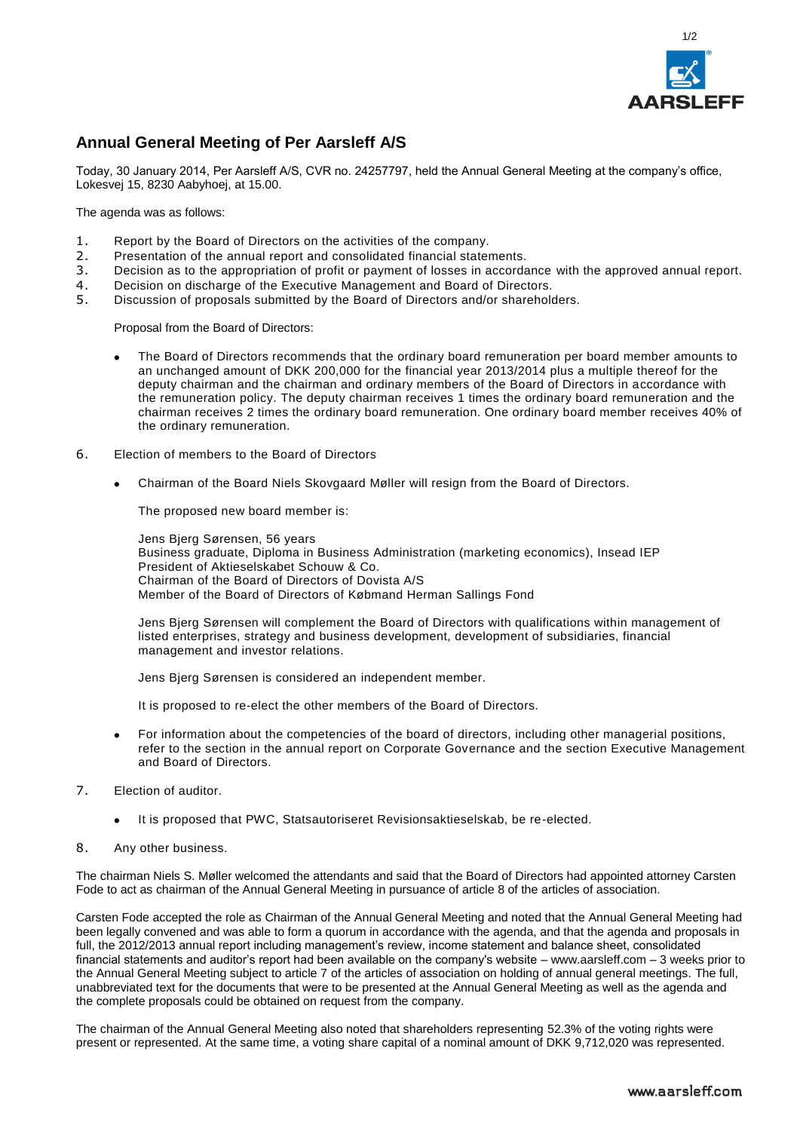

## **Annual General Meeting of Per Aarsleff A/S**

Today, 30 January 2014, Per Aarsleff A/S, CVR no. 24257797, held the Annual General Meeting at the company's office, Lokesvej 15, 8230 Aabyhoej, at 15.00.

The agenda was as follows:

- 1. Report by the Board of Directors on the activities of the company.
- 2. Presentation of the annual report and consolidated financial statements.
- 3. Decision as to the appropriation of profit or payment of losses in accordance with the approved annual report.
- 4. Decision on discharge of the Executive Management and Board of Directors.
- 5. Discussion of proposals submitted by the Board of Directors and/or shareholders.

Proposal from the Board of Directors:

- The Board of Directors recommends that the ordinary board remuneration per board member amounts to an unchanged amount of DKK 200,000 for the financial year 2013/2014 plus a multiple thereof for the deputy chairman and the chairman and ordinary members of the Board of Directors in accordance with the remuneration policy. The deputy chairman receives 1 times the ordinary board remuneration and the chairman receives 2 times the ordinary board remuneration. One ordinary board member receives 40% of the ordinary remuneration.
- 6. Election of members to the Board of Directors
	- Chairman of the Board Niels Skovgaard Møller will resign from the Board of Directors.

The proposed new board member is:

Jens Bjerg Sørensen, 56 years Business graduate, Diploma in Business Administration (marketing economics), Insead IEP President of Aktieselskabet Schouw & Co. Chairman of the Board of Directors of Dovista A/S Member of the Board of Directors of Købmand Herman Sallings Fond

Jens Bjerg Sørensen will complement the Board of Directors with qualifications within management of listed enterprises, strategy and business development, development of subsidiaries, financial management and investor relations.

Jens Bjerg Sørensen is considered an independent member.

It is proposed to re-elect the other members of the Board of Directors.

- For information about the competencies of the board of directors, including other managerial positions, refer to the section in the annual report on Corporate Governance and the section Executive Management and Board of Directors.
- 7. Election of auditor.
	- It is proposed that PWC, Statsautoriseret Revisionsaktieselskab, be re-elected.
- 8. Any other business.

The chairman Niels S. Møller welcomed the attendants and said that the Board of Directors had appointed attorney Carsten Fode to act as chairman of the Annual General Meeting in pursuance of article 8 of the articles of association.

Carsten Fode accepted the role as Chairman of the Annual General Meeting and noted that the Annual General Meeting had been legally convened and was able to form a quorum in accordance with the agenda, and that the agenda and proposals in full, the 2012/2013 annual report including management's review, income statement and balance sheet, consolidated financial statements and auditor's report had been available on the company's website – www.aarsleff.com – 3 weeks prior to the Annual General Meeting subject to article 7 of the articles of association on holding of annual general meetings. The full, unabbreviated text for the documents that were to be presented at the Annual General Meeting as well as the agenda and the complete proposals could be obtained on request from the company.

The chairman of the Annual General Meeting also noted that shareholders representing 52.3% of the voting rights were present or represented. At the same time, a voting share capital of a nominal amount of DKK 9,712,020 was represented.